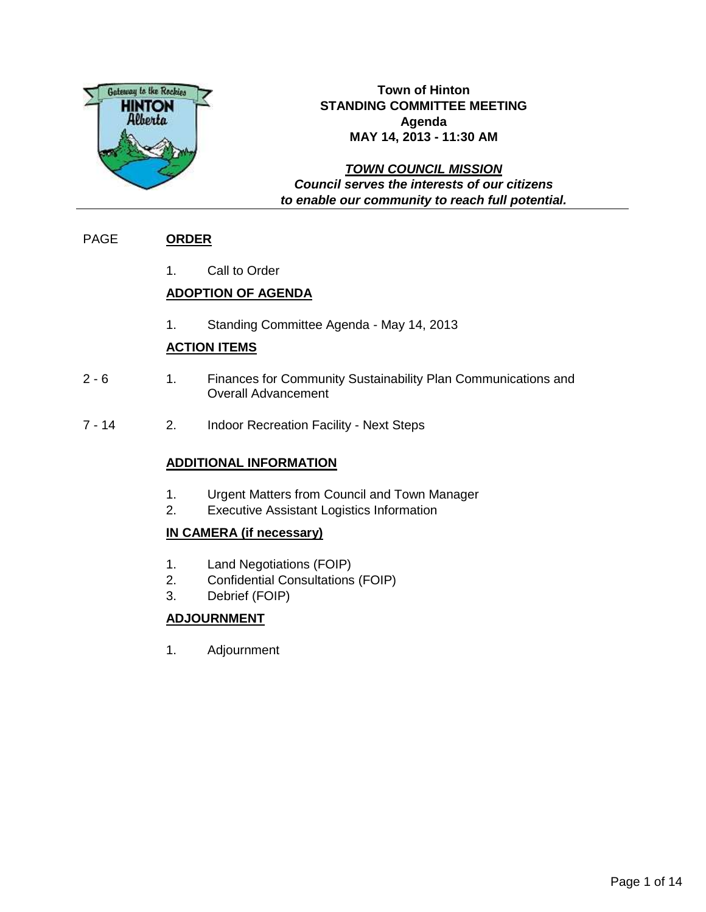

## **Town of Hinton STANDING COMMITTEE MEETING Agenda MAY 14, 2013 - 11:30 AM**

**TOWN COUNCIL MISSION Council serves the interests of our citizens to enable our community to reach full potential.**

## PAGE **ORDER**

1. Call to Order

## **ADOPTION OF AGENDA**

1. Standing Committee Agenda - May 14, 2013

## **ACTION ITEMS**

- 2 6 1. Finances for Community Sustainability Plan Communications and Overall Advancement
- 7 14 2. Indoor Recreation Facility Next Steps

## **ADDITIONAL INFORMATION**

- 1. Urgent Matters from Council and Town Manager
- 2. Executive Assistant Logistics Information

## **IN CAMERA (if necessary)**

- 1. Land Negotiations (FOIP)
- 2. Confidential Consultations (FOIP)
- 3. Debrief (FOIP)

## **ADJOURNMENT**

1. Adjournment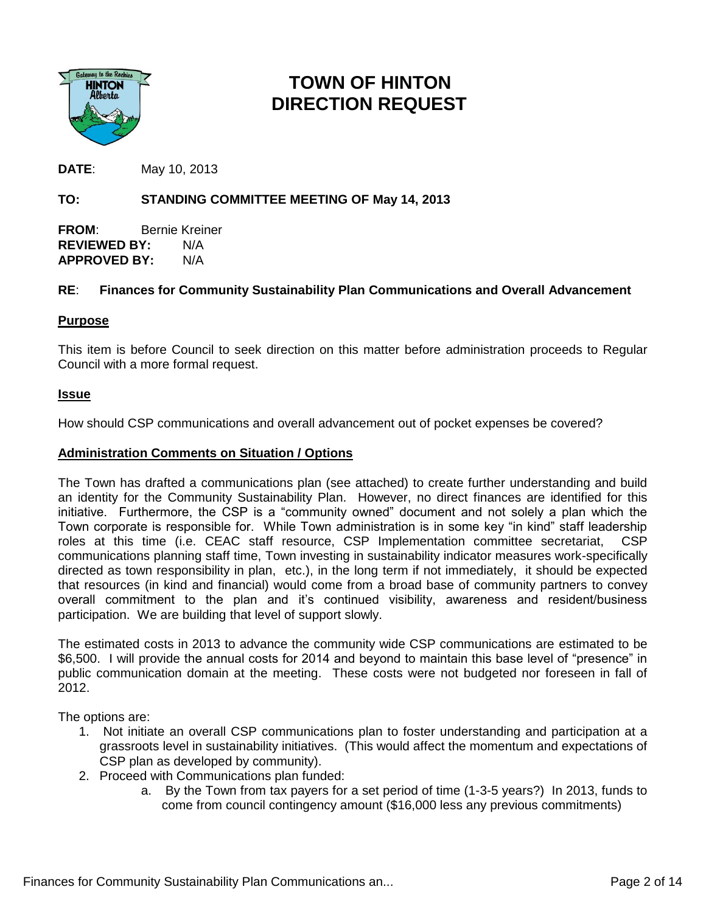

## **TOWN OF HINTON DIRECTION REQUEST**

**DATE**: May 10, 2013

## **TO: STANDING COMMITTEE MEETING OF May 14, 2013**

**FROM**: Bernie Kreiner **REVIEWED BY:** N/A **APPROVED BY:** N/A

### **RE**: **Finances for Community Sustainability Plan Communications and Overall Advancement**

### **Purpose**

This item is before Council to seek direction on this matter before administration proceeds to Regular Council with a more formal request.

#### **Issue**

How should CSP communications and overall advancement out of pocket expenses be covered?

#### **Administration Comments on Situation / Options**

The Town has drafted a communications plan (see attached) to create further understanding and build an identity for the Community Sustainability Plan. However, no direct finances are identified for this initiative. Furthermore, the CSP is a "community owned" document and not solely a plan which the Town corporate is responsible for. While Town administration is in some key "in kind" staff leadership roles at this time (i.e. CEAC staff resource, CSP Implementation committee secretariat, CSP communications planning staff time, Town investing in sustainability indicator measures work-specifically directed as town responsibility in plan, etc.), in the long term if not immediately, it should be expected that resources (in kind and financial) would come from a broad base of community partners to convey overall commitment to the plan and it's continued visibility, awareness and resident/business participation. We are building that level of support slowly.

The estimated costs in 2013 to advance the community wide CSP communications are estimated to be \$6,500. I will provide the annual costs for 2014 and beyond to maintain this base level of "presence" in public communication domain at the meeting. These costs were not budgeted nor foreseen in fall of 2012.

The options are:

- 1. Not initiate an overall CSP communications plan to foster understanding and participation at a grassroots level in sustainability initiatives. (This would affect the momentum and expectations of CSP plan as developed by community).
- 2. Proceed with Communications plan funded:
	- a. By the Town from tax payers for a set period of time (1-3-5 years?) In 2013, funds to come from council contingency amount (\$16,000 less any previous commitments)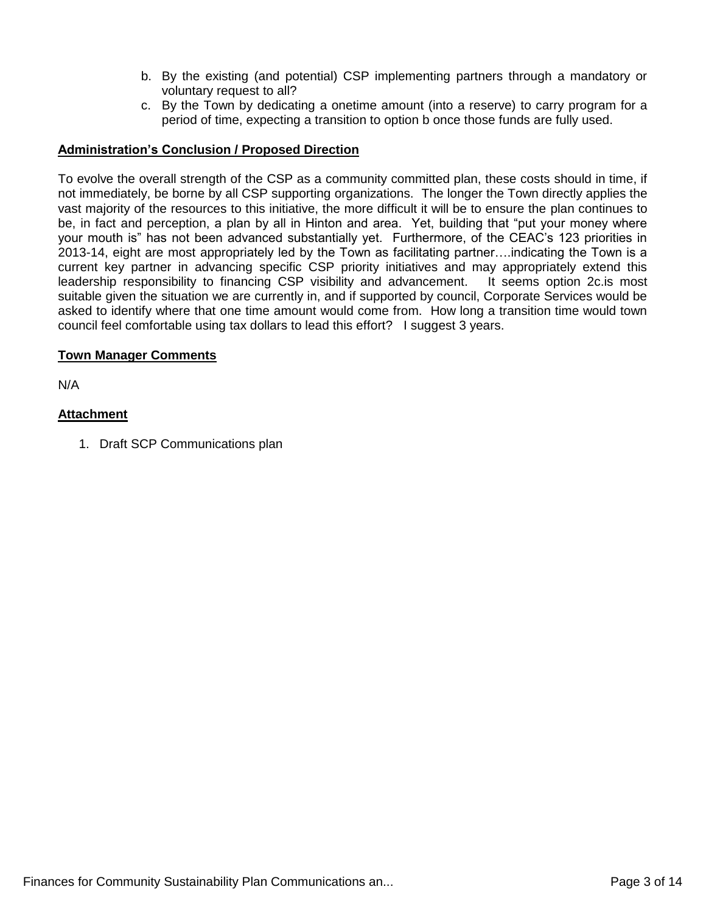- b. By the existing (and potential) CSP implementing partners through a mandatory or voluntary request to all?
- c. By the Town by dedicating a onetime amount (into a reserve) to carry program for a period of time, expecting a transition to option b once those funds are fully used.

### **Administration's Conclusion / Proposed Direction**

To evolve the overall strength of the CSP as a community committed plan, these costs should in time, if not immediately, be borne by all CSP supporting organizations. The longer the Town directly applies the vast majority of the resources to this initiative, the more difficult it will be to ensure the plan continues to be, in fact and perception, a plan by all in Hinton and area. Yet, building that "put your money where your mouth is" has not been advanced substantially yet. Furthermore, of the CEAC's 123 priorities in 2013-14, eight are most appropriately led by the Town as facilitating partner….indicating the Town is a current key partner in advancing specific CSP priority initiatives and may appropriately extend this leadership responsibility to financing CSP visibility and advancement. It seems option 2c.is most suitable given the situation we are currently in, and if supported by council, Corporate Services would be asked to identify where that one time amount would come from. How long a transition time would town council feel comfortable using tax dollars to lead this effort? I suggest 3 years.

#### **Town Manager Comments**

N/A

#### **Attachment**

1. Draft SCP Communications plan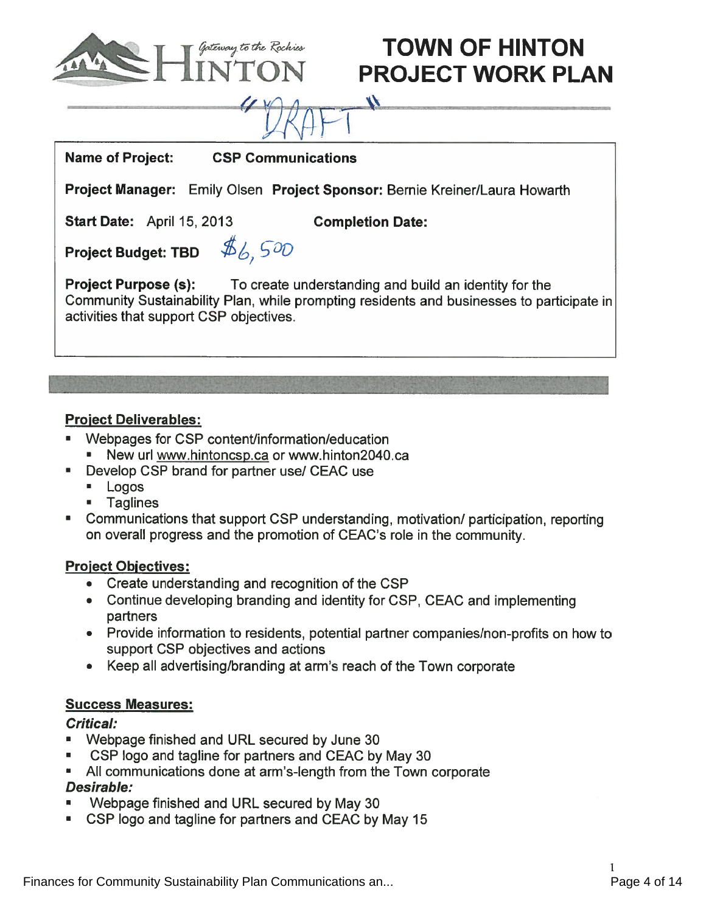

# Intervaly to the Rochies **TOWN OF HINTON PROJECT WORK PLAN**

Name of Project: CSP Communications

Project Manager: Emily Olsen Project Sponsor: Bernie Kreiner/Laura Howarth

Start Date: April 15, 2013 Completion Date:

 $\boldsymbol{\mathcal{N}}$ 

Project Budget: TBD  $\mathcal{A}_{6,5}$ 



**Project Purpose (s):** To create understanding and build an identity for the Community Sustainability Plan, while prompting residents and businesses to participate in activities that suppor<sup>t</sup> CSP objectives.

## Project Deliverables:

- Webpages for CSP content/information/education •New url www.hintoncsp.ca or www.hinton2040.ca
- Develop CSP brand for partner use! CEAC use
	- Logos
	- Taglines
- •Communications that support CSP understanding, motivation/ participation, reporting on overall progress and the promotion of CEAC's role in the community.

## **Project Objectives:**

- Create understanding and recognition of the CSP
- Continue developing branding and identity for CSP, CEAC and implementing partners
- Provide information to residents, potential partner companies/non-profits on how to suppor<sup>t</sup> CSP objectives and actions
- Keep all advertising/branding at arm's reach of the Town corporate

## Success Measures:

## Critical:

- Webpage finished and URL secured by June 30
- CSP logo and tagline for partners and CEAC by May 30
- All communications done at arm's-length from the Town corporate Desirable:
- Webpage finished and URL secured by May 30
- •CSP logo and tagline for partners and CEAC by May 15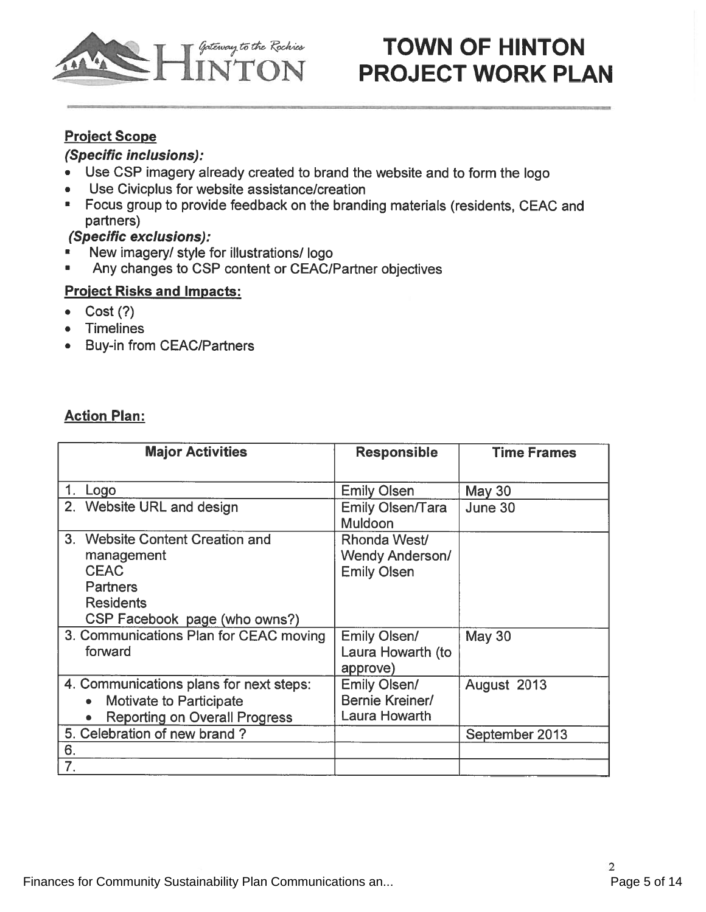

# TOWN OF HINTON Antenny to the Rochies **TOWN OF HINTON**<br>INTON **PROJECT WORK PLAN**

## Project Scope

## (Specific inclusions):

- Use CSP imagery already created to brand the website and to form the logo
- •Use Civicplus for website assistance/creation
- • Focus group to provide feedback on the branding materials (residents, CEAC and partners)

## (Specific exclusions):

- New imagery/ style for illustrations/ logo
- •Any changes to CSP content or CEAC/Partner objectives

## Proiect Risks and Impacts:

- Cost (?)
- Timelines
- Buy-in from CEAC/Partners

## Action Plan:

| <b>Major Activities</b>                           | <b>Responsible</b>                        | <b>Time Frames</b> |
|---------------------------------------------------|-------------------------------------------|--------------------|
|                                                   |                                           |                    |
| Logo                                              | <b>Emily Olsen</b>                        | May 30             |
| 2. Website URL and design                         | <b>Emily Olsen/Tara</b><br><b>Muldoon</b> | June 30            |
| 3. Website Content Creation and                   | Rhonda West/                              |                    |
| management                                        | <b>Wendy Anderson/</b>                    |                    |
| <b>CEAC</b>                                       | <b>Emily Olsen</b>                        |                    |
| <b>Partners</b>                                   |                                           |                    |
| <b>Residents</b>                                  |                                           |                    |
| CSP Facebook page (who owns?)                     |                                           |                    |
| 3. Communications Plan for CEAC moving<br>forward | <b>Emily Olsen/</b><br>Laura Howarth (to  | May 30             |
|                                                   | approve)                                  |                    |
| 4. Communications plans for next steps:           | <b>Emily Olsen/</b>                       | August 2013        |
| <b>Motivate to Participate</b><br>$\bullet$       | Bernie Kreiner/                           |                    |
| <b>Reporting on Overall Progress</b>              | <b>Laura Howarth</b>                      |                    |
| 5. Celebration of new brand?                      |                                           | September 2013     |
| 6.                                                |                                           |                    |
| 7.                                                |                                           |                    |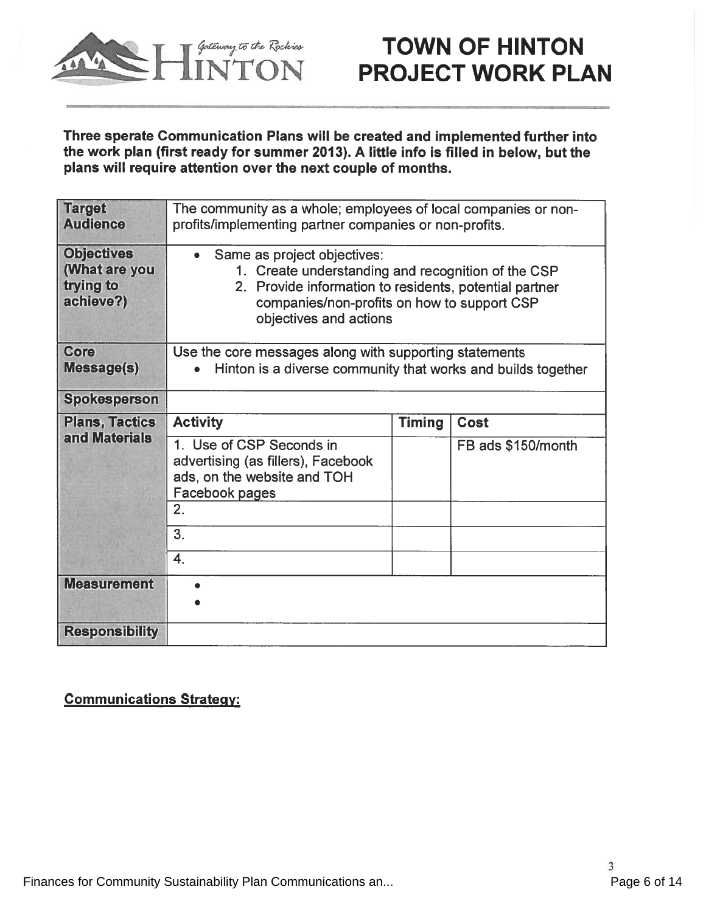

## TOWN OF HINTON *Antenny to the Rockies* **FOWN OF HINTON**<br>INTON PROJECT WORK PLAN

Three sperate Communication Plans will be created and implemented further into the work plan (first ready for summer 2013). A little info is filled in below, but the plans will require attention over the next couple of months.

| <b>Target</b><br><b>Audience</b>                             | The community as a whole; employees of local companies or non-<br>profits/implementing partner companies or non-profits.                                                                                             |               |                    |
|--------------------------------------------------------------|----------------------------------------------------------------------------------------------------------------------------------------------------------------------------------------------------------------------|---------------|--------------------|
| <b>Objectives</b><br>(What are you<br>trying to<br>achieve?) | Same as project objectives:<br>1. Create understanding and recognition of the CSP<br>2. Provide information to residents, potential partner<br>companies/non-profits on how to support CSP<br>objectives and actions |               |                    |
| Core<br><b>Message(s)</b>                                    | Use the core messages along with supporting statements<br>Hinton is a diverse community that works and builds together                                                                                               |               |                    |
| <b>Spokesperson</b>                                          |                                                                                                                                                                                                                      |               |                    |
| <b>Plans, Tactics</b><br>and Materials                       | <b>Activity</b>                                                                                                                                                                                                      | <b>Timing</b> | <b>Cost</b>        |
|                                                              | 1. Use of CSP Seconds in<br>advertising (as fillers), Facebook<br>ads, on the website and TOH<br>Facebook pages                                                                                                      |               | FB ads \$150/month |
|                                                              | 2.                                                                                                                                                                                                                   |               |                    |
|                                                              | 3.                                                                                                                                                                                                                   |               |                    |
|                                                              | 4.                                                                                                                                                                                                                   |               |                    |
| <b>Measurement</b>                                           |                                                                                                                                                                                                                      |               |                    |
| <b>Responsibility</b>                                        |                                                                                                                                                                                                                      |               |                    |

## Communications Strategy: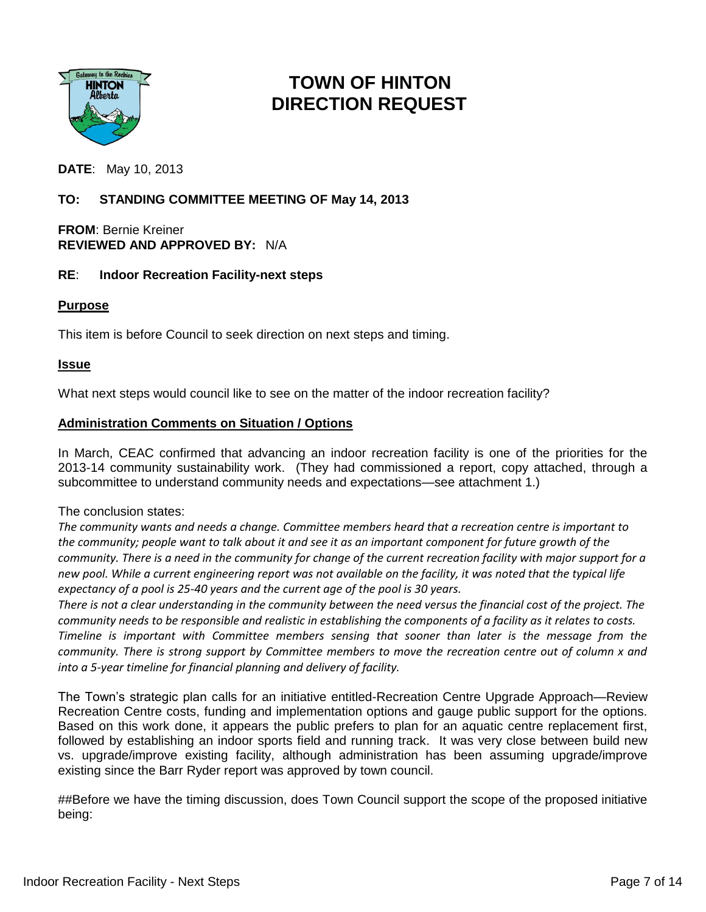

## **TOWN OF HINTON DIRECTION REQUEST**

**DATE**: May 10, 2013

## **TO: STANDING COMMITTEE MEETING OF May 14, 2013**

#### **FROM**: Bernie Kreiner **REVIEWED AND APPROVED BY:** N/A

### **RE**: **Indoor Recreation Facility-next steps**

#### **Purpose**

This item is before Council to seek direction on next steps and timing.

#### **Issue**

What next steps would council like to see on the matter of the indoor recreation facility?

#### **Administration Comments on Situation / Options**

In March, CEAC confirmed that advancing an indoor recreation facility is one of the priorities for the 2013-14 community sustainability work. (They had commissioned a report, copy attached, through a subcommittee to understand community needs and expectations—see attachment 1.)

#### The conclusion states:

*The community wants and needs a change. Committee members heard that a recreation centre is important to the community; people want to talk about it and see it as an important component for future growth of the community. There is a need in the community for change of the current recreation facility with major support for a new pool. While a current engineering report was not available on the facility, it was noted that the typical life expectancy of a pool is 25-40 years and the current age of the pool is 30 years.* 

*There is not a clear understanding in the community between the need versus the financial cost of the project. The community needs to be responsible and realistic in establishing the components of a facility as it relates to costs. Timeline is important with Committee members sensing that sooner than later is the message from the community. There is strong support by Committee members to move the recreation centre out of column x and into a 5-year timeline for financial planning and delivery of facility.*

The Town's strategic plan calls for an initiative entitled-Recreation Centre Upgrade Approach—Review Recreation Centre costs, funding and implementation options and gauge public support for the options. Based on this work done, it appears the public prefers to plan for an aquatic centre replacement first, followed by establishing an indoor sports field and running track. It was very close between build new vs. upgrade/improve existing facility, although administration has been assuming upgrade/improve existing since the Barr Ryder report was approved by town council.

##Before we have the timing discussion, does Town Council support the scope of the proposed initiative being: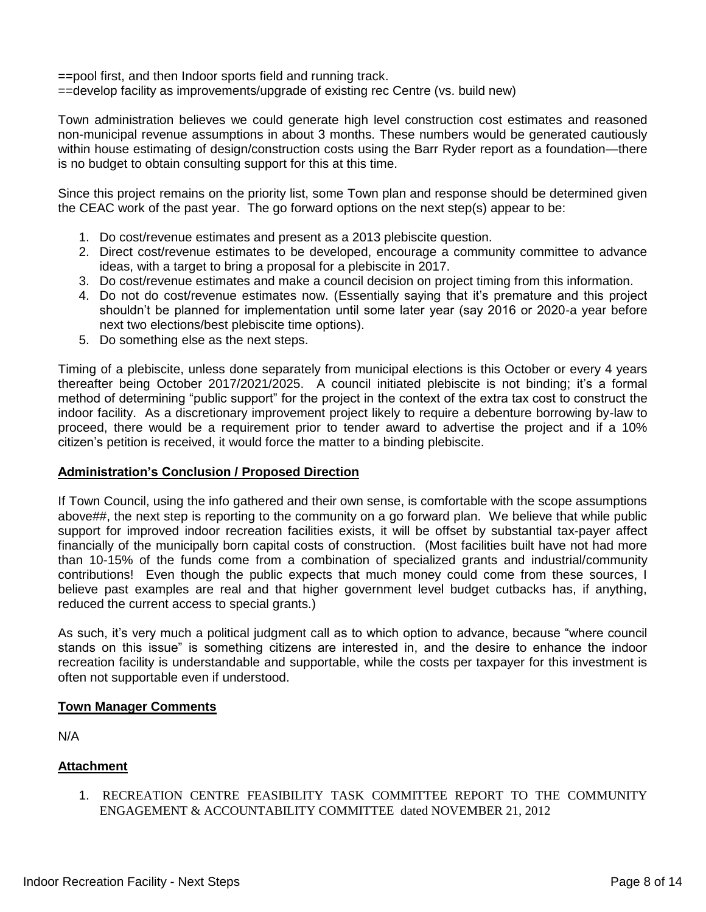==pool first, and then Indoor sports field and running track.

==develop facility as improvements/upgrade of existing rec Centre (vs. build new)

Town administration believes we could generate high level construction cost estimates and reasoned non-municipal revenue assumptions in about 3 months. These numbers would be generated cautiously within house estimating of design/construction costs using the Barr Ryder report as a foundation—there is no budget to obtain consulting support for this at this time.

Since this project remains on the priority list, some Town plan and response should be determined given the CEAC work of the past year. The go forward options on the next step(s) appear to be:

- 1. Do cost/revenue estimates and present as a 2013 plebiscite question.
- 2. Direct cost/revenue estimates to be developed, encourage a community committee to advance ideas, with a target to bring a proposal for a plebiscite in 2017.
- 3. Do cost/revenue estimates and make a council decision on project timing from this information.
- 4. Do not do cost/revenue estimates now. (Essentially saying that it's premature and this project shouldn't be planned for implementation until some later year (say 2016 or 2020-a year before next two elections/best plebiscite time options).
- 5. Do something else as the next steps.

Timing of a plebiscite, unless done separately from municipal elections is this October or every 4 years thereafter being October 2017/2021/2025. A council initiated plebiscite is not binding; it's a formal method of determining "public support" for the project in the context of the extra tax cost to construct the indoor facility. As a discretionary improvement project likely to require a debenture borrowing by-law to proceed, there would be a requirement prior to tender award to advertise the project and if a 10% citizen's petition is received, it would force the matter to a binding plebiscite.

### **Administration's Conclusion / Proposed Direction**

If Town Council, using the info gathered and their own sense, is comfortable with the scope assumptions above##, the next step is reporting to the community on a go forward plan. We believe that while public support for improved indoor recreation facilities exists, it will be offset by substantial tax-payer affect financially of the municipally born capital costs of construction. (Most facilities built have not had more than 10-15% of the funds come from a combination of specialized grants and industrial/community contributions! Even though the public expects that much money could come from these sources, I believe past examples are real and that higher government level budget cutbacks has, if anything, reduced the current access to special grants.)

As such, it's very much a political judgment call as to which option to advance, because "where council stands on this issue" is something citizens are interested in, and the desire to enhance the indoor recreation facility is understandable and supportable, while the costs per taxpayer for this investment is often not supportable even if understood.

### **Town Manager Comments**

N/A

## **Attachment**

1. RECREATION CENTRE FEASIBILITY TASK COMMITTEE REPORT TO THE COMMUNITY ENGAGEMENT & ACCOUNTABILITY COMMITTEE dated NOVEMBER 21, 2012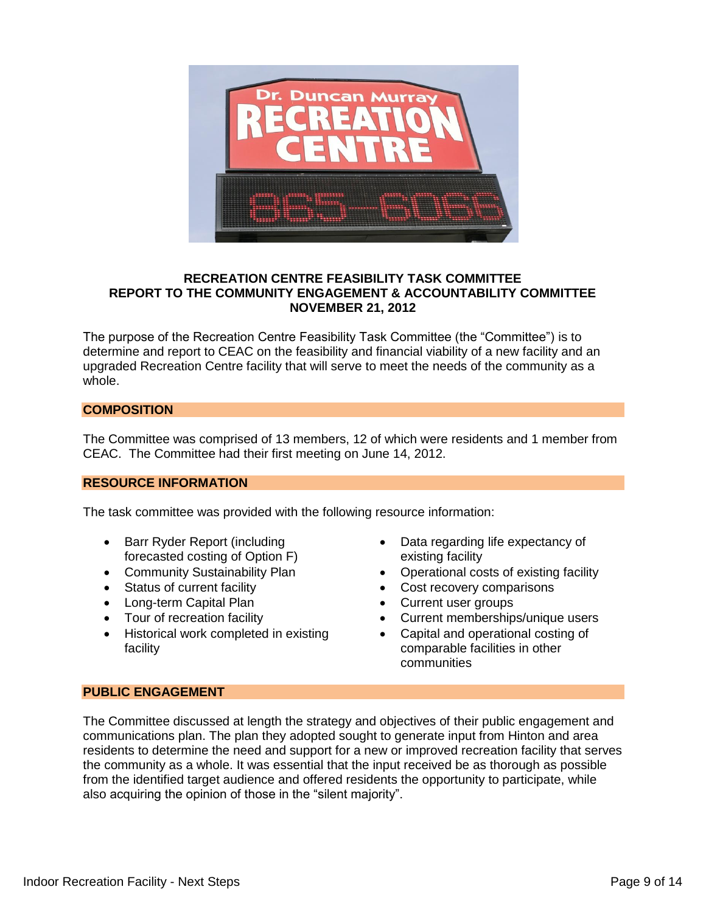

#### **RECREATION CENTRE FEASIBILITY TASK COMMITTEE REPORT TO THE COMMUNITY ENGAGEMENT & ACCOUNTABILITY COMMITTEE NOVEMBER 21, 2012**

The purpose of the Recreation Centre Feasibility Task Committee (the "Committee") is to determine and report to CEAC on the feasibility and financial viability of a new facility and an upgraded Recreation Centre facility that will serve to meet the needs of the community as a whole.

#### **COMPOSITION**

The Committee was comprised of 13 members, 12 of which were residents and 1 member from CEAC. The Committee had their first meeting on June 14, 2012.

#### **RESOURCE INFORMATION**

The task committee was provided with the following resource information:

- Barr Ryder Report (including forecasted costing of Option F)
- Community Sustainability Plan
- Status of current facility
- Long-term Capital Plan
- Tour of recreation facility
- Historical work completed in existing facility
- Data regarding life expectancy of existing facility
- Operational costs of existing facility
- Cost recovery comparisons
- Current user groups
- Current memberships/unique users
- Capital and operational costing of comparable facilities in other communities

#### **PUBLIC ENGAGEMENT**

The Committee discussed at length the strategy and objectives of their public engagement and communications plan. The plan they adopted sought to generate input from Hinton and area residents to determine the need and support for a new or improved recreation facility that serves the community as a whole. It was essential that the input received be as thorough as possible from the identified target audience and offered residents the opportunity to participate, while also acquiring the opinion of those in the "silent majority".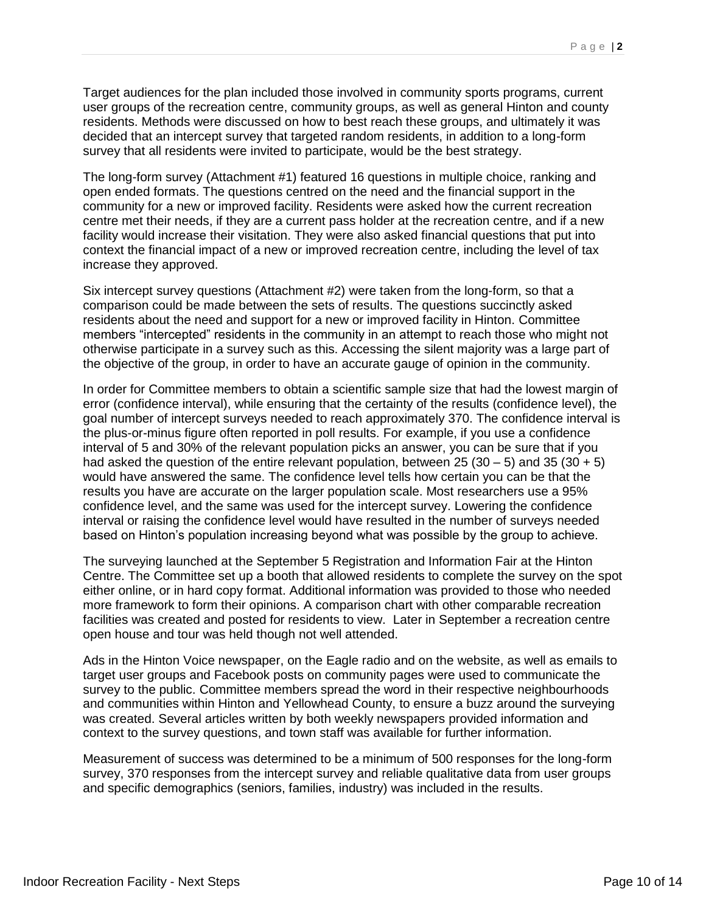Target audiences for the plan included those involved in community sports programs, current user groups of the recreation centre, community groups, as well as general Hinton and county residents. Methods were discussed on how to best reach these groups, and ultimately it was decided that an intercept survey that targeted random residents, in addition to a long-form survey that all residents were invited to participate, would be the best strategy.

The long-form survey (Attachment #1) featured 16 questions in multiple choice, ranking and open ended formats. The questions centred on the need and the financial support in the community for a new or improved facility. Residents were asked how the current recreation centre met their needs, if they are a current pass holder at the recreation centre, and if a new facility would increase their visitation. They were also asked financial questions that put into context the financial impact of a new or improved recreation centre, including the level of tax increase they approved.

Six intercept survey questions (Attachment #2) were taken from the long-form, so that a comparison could be made between the sets of results. The questions succinctly asked residents about the need and support for a new or improved facility in Hinton. Committee members "intercepted" residents in the community in an attempt to reach those who might not otherwise participate in a survey such as this. Accessing the silent majority was a large part of the objective of the group, in order to have an accurate gauge of opinion in the community.

In order for Committee members to obtain a scientific sample size that had the lowest margin of error (confidence interval), while ensuring that the certainty of the results (confidence level), the goal number of intercept surveys needed to reach approximately 370. The confidence interval is the plus-or-minus figure often reported in poll results. For example, if you use a confidence interval of 5 and 30% of the relevant population picks an answer, you can be sure that if you had asked the question of the entire relevant population, between 25 (30 – 5) and 35 (30 + 5) would have answered the same. The confidence level tells how certain you can be that the results you have are accurate on the larger population scale. Most researchers use a 95% confidence level, and the same was used for the intercept survey. Lowering the confidence interval or raising the confidence level would have resulted in the number of surveys needed based on Hinton's population increasing beyond what was possible by the group to achieve.

The surveying launched at the September 5 Registration and Information Fair at the Hinton Centre. The Committee set up a booth that allowed residents to complete the survey on the spot either online, or in hard copy format. Additional information was provided to those who needed more framework to form their opinions. A comparison chart with other comparable recreation facilities was created and posted for residents to view. Later in September a recreation centre open house and tour was held though not well attended.

Ads in the Hinton Voice newspaper, on the Eagle radio and on the website, as well as emails to target user groups and Facebook posts on community pages were used to communicate the survey to the public. Committee members spread the word in their respective neighbourhoods and communities within Hinton and Yellowhead County, to ensure a buzz around the surveying was created. Several articles written by both weekly newspapers provided information and context to the survey questions, and town staff was available for further information.

Measurement of success was determined to be a minimum of 500 responses for the long-form survey, 370 responses from the intercept survey and reliable qualitative data from user groups and specific demographics (seniors, families, industry) was included in the results.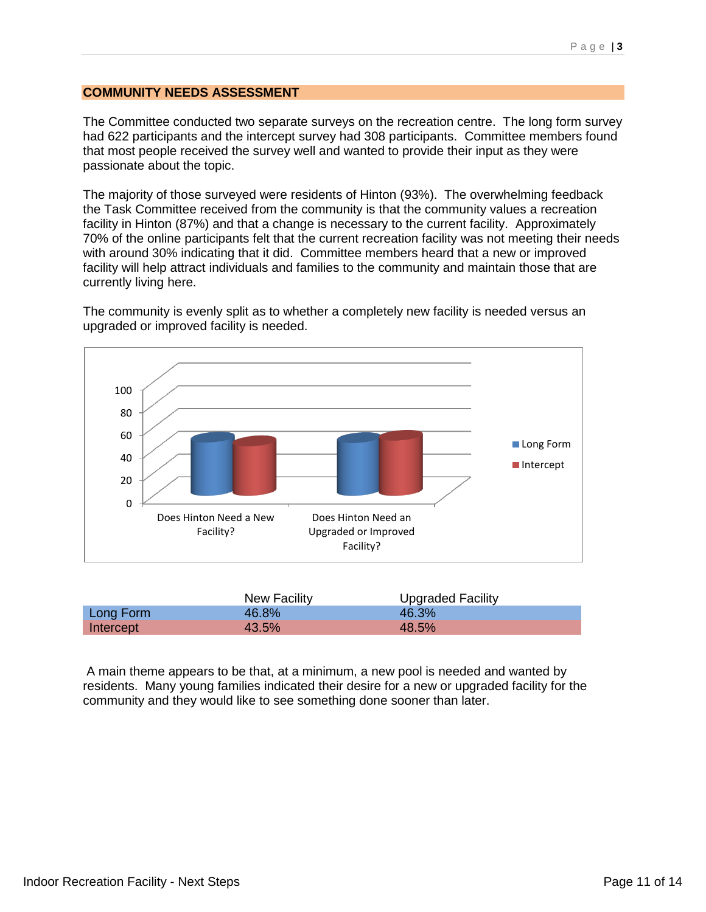#### **COMMUNITY NEEDS ASSESSMENT**

The Committee conducted two separate surveys on the recreation centre. The long form survey had 622 participants and the intercept survey had 308 participants. Committee members found that most people received the survey well and wanted to provide their input as they were passionate about the topic.

The majority of those surveyed were residents of Hinton (93%). The overwhelming feedback the Task Committee received from the community is that the community values a recreation facility in Hinton (87%) and that a change is necessary to the current facility. Approximately 70% of the online participants felt that the current recreation facility was not meeting their needs with around 30% indicating that it did. Committee members heard that a new or improved facility will help attract individuals and families to the community and maintain those that are currently living here.

The community is evenly split as to whether a completely new facility is needed versus an upgraded or improved facility is needed.



|           | New Facility | Upgraded Facility |
|-----------|--------------|-------------------|
| Long Form | 46.8%        | 46.3%             |
| Intercept | 43.5%        | 48.5%             |

A main theme appears to be that, at a minimum, a new pool is needed and wanted by residents. Many young families indicated their desire for a new or upgraded facility for the community and they would like to see something done sooner than later.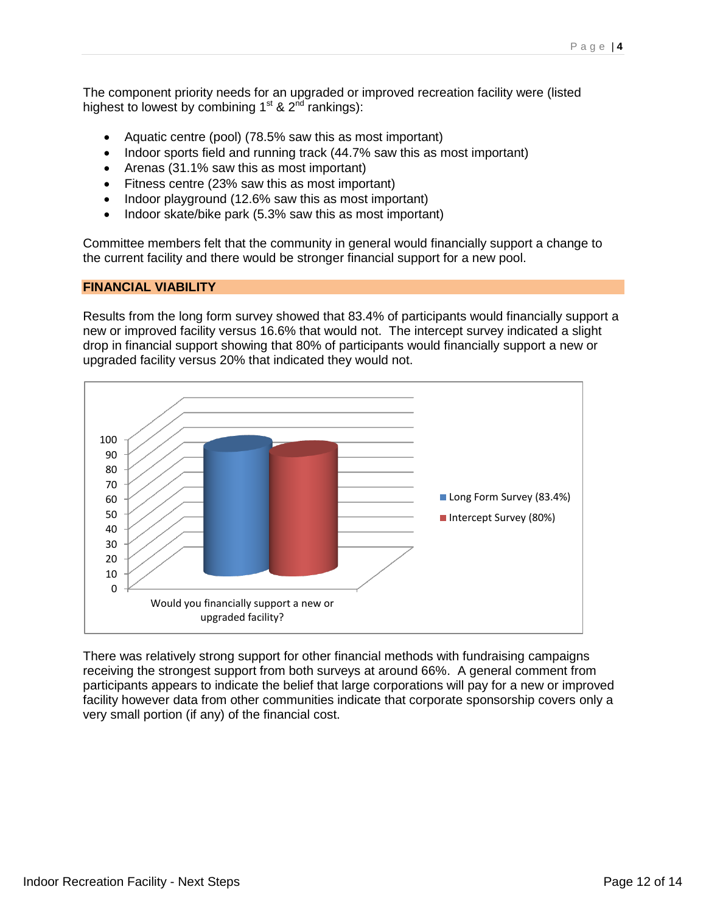The component priority needs for an upgraded or improved recreation facility were (listed highest to lowest by combining 1<sup>st</sup> & 2<sup>nd</sup> rankings):

- Aquatic centre (pool) (78.5% saw this as most important)
- Indoor sports field and running track (44.7% saw this as most important)
- Arenas (31.1% saw this as most important)
- Fitness centre (23% saw this as most important)
- Indoor playground (12.6% saw this as most important)
- Indoor skate/bike park (5.3% saw this as most important)

Committee members felt that the community in general would financially support a change to the current facility and there would be stronger financial support for a new pool.

#### **FINANCIAL VIABILITY**

Results from the long form survey showed that 83.4% of participants would financially support a new or improved facility versus 16.6% that would not. The intercept survey indicated a slight drop in financial support showing that 80% of participants would financially support a new or upgraded facility versus 20% that indicated they would not.



There was relatively strong support for other financial methods with fundraising campaigns receiving the strongest support from both surveys at around 66%. A general comment from participants appears to indicate the belief that large corporations will pay for a new or improved facility however data from other communities indicate that corporate sponsorship covers only a very small portion (if any) of the financial cost.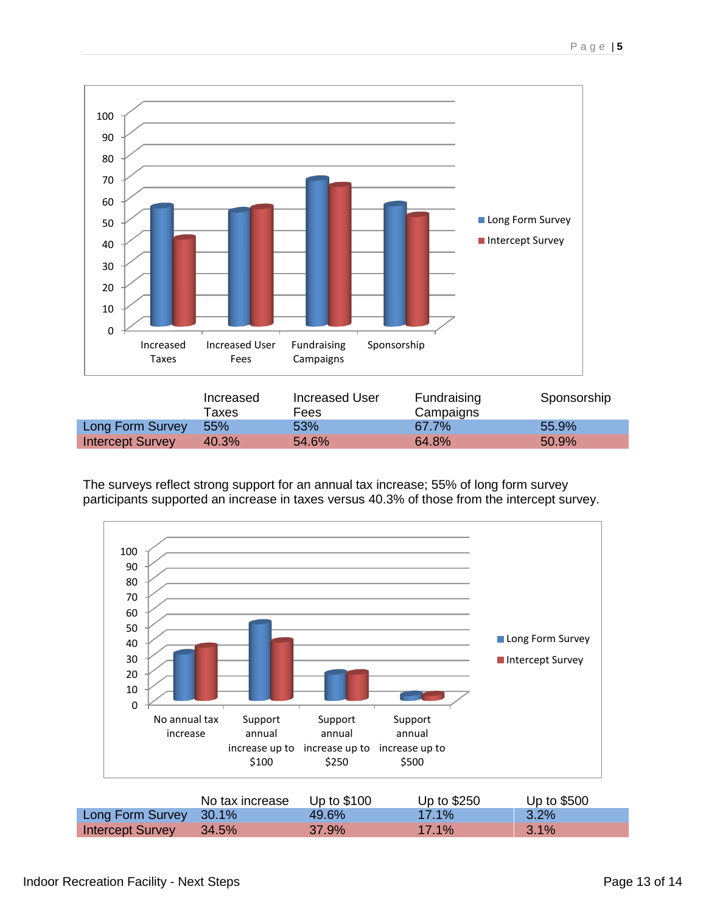

The surveys reflect strong support for an annual tax increase; 55% of long form survey participants supported an increase in taxes versus 40.3% of those from the intercept survey.